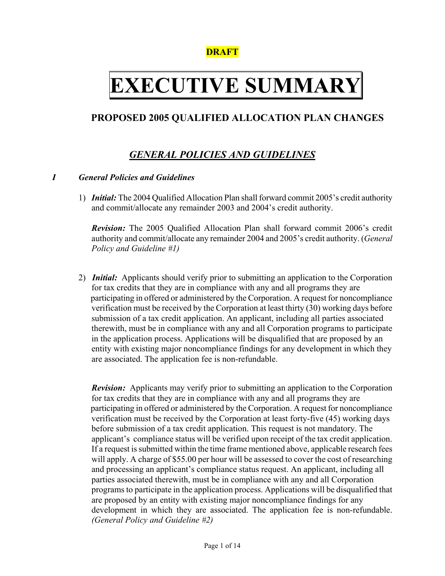# **DRAFT**

# **EXECUTIVE SUMMARY**

# **PROPOSED 2005 QUALIFIED ALLOCATION PLAN CHANGES**

# *GENERAL POLICIES AND GUIDELINES*

## *I General Policies and Guidelines*

1) *Initial:* The 2004 Qualified Allocation Plan shall forward commit 2005's credit authority and commit/allocate any remainder 2003 and 2004's credit authority.

*Revision:* The 2005 Qualified Allocation Plan shall forward commit 2006's credit authority and commit/allocate any remainder 2004 and 2005's credit authority. (*General Policy and Guideline #1)* 

2) *Initial:* Applicants should verify prior to submitting an application to the Corporation for tax credits that they are in compliance with any and all programs they are participating in offered or administered by the Corporation. A request for noncompliance verification must be received by the Corporation at least thirty (30) working days before submission of a tax credit application. An applicant, including all parties associated therewith, must be in compliance with any and all Corporation programs to participate in the application process. Applications will be disqualified that are proposed by an entity with existing major noncompliance findings for any development in which they are associated. The application fee is non-refundable.

*Revision:* Applicants may verify prior to submitting an application to the Corporation for tax credits that they are in compliance with any and all programs they are participating in offered or administered by the Corporation. A request for noncompliance verification must be received by the Corporation at least forty-five (45) working days before submission of a tax credit application. This request is not mandatory. The applicant's compliance status will be verified upon receipt of the tax credit application. If a request is submitted within the time frame mentioned above, applicable research fees will apply. A charge of \$55.00 per hour will be assessed to cover the cost of researching and processing an applicant's compliance status request. An applicant, including all parties associated therewith, must be in compliance with any and all Corporation programs to participate in the application process. Applications will be disqualified that are proposed by an entity with existing major noncompliance findings for any development in which they are associated. The application fee is non-refundable. *(General Policy and Guideline #2)*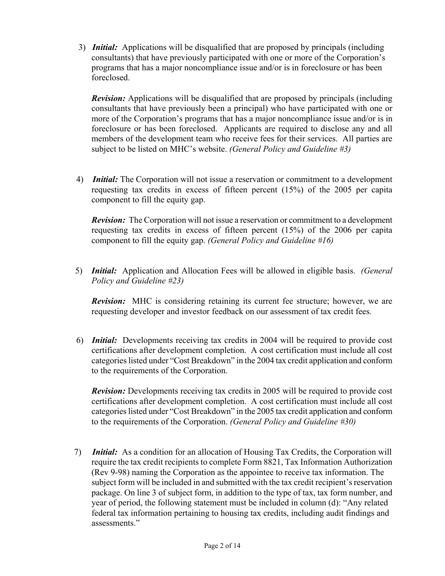3) *Initial:* Applications will be disqualified that are proposed by principals (including consultants) that have previously participated with one or more of the Corporation's programs that has a major noncompliance issue and/or is in foreclosure or has been foreclosed.

*Revision:* Applications will be disqualified that are proposed by principals (including consultants that have previously been a principal) who have participated with one or more of the Corporation's programs that has a major noncompliance issue and/or is in foreclosure or has been foreclosed. Applicants are required to disclose any and all members of the development team who receive fees for their services. All parties are subject to be listed on MHC's website. *(General Policy and Guideline #3)* 

 4) *Initial:* The Corporation will not issue a reservation or commitment to a development requesting tax credits in excess of fifteen percent (15%) of the 2005 per capita component to fill the equity gap.

 *Revision:* The Corporation will not issue a reservation or commitment to a development requesting tax credits in excess of fifteen percent (15%) of the 2006 per capita component to fill the equity gap. *(General Policy and Guideline #16)* 

5) *Initial:* Application and Allocation Fees will be allowed in eligible basis. *(General Policy and Guideline #23)*

*Revision:* MHC is considering retaining its current fee structure; however, we are requesting developer and investor feedback on our assessment of tax credit fees.

 6) *Initial:* Developments receiving tax credits in 2004 will be required to provide cost certifications after development completion. A cost certification must include all cost categories listed under "Cost Breakdown" in the 2004 tax credit application and conform to the requirements of the Corporation.

*Revision:* Developments receiving tax credits in 2005 will be required to provide cost certifications after development completion. A cost certification must include all cost categories listed under "Cost Breakdown" in the 2005 tax credit application and conform to the requirements of the Corporation. *(General Policy and Guideline #30)* 

7) *Initial:* As a condition for an allocation of Housing Tax Credits, the Corporation will require the tax credit recipients to complete Form 8821, Tax Information Authorization (Rev 9-98) naming the Corporation as the appointee to receive tax information. The subject form will be included in and submitted with the tax credit recipient's reservation package. On line 3 of subject form, in addition to the type of tax, tax form number, and year of period, the following statement must be included in column (d): "Any related federal tax information pertaining to housing tax credits, including audit findings and assessments."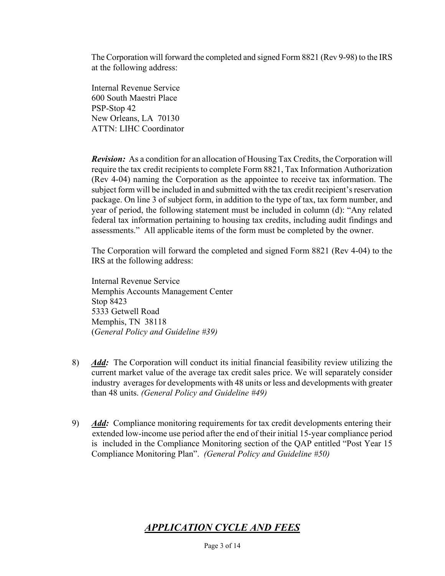The Corporation will forward the completed and signed Form 8821 (Rev 9-98) to the IRS at the following address:

 Internal Revenue Service 600 South Maestri Place PSP-Stop 42 New Orleans, LA 70130 ATTN: LIHC Coordinator

 *Revision:* As a condition for an allocation of Housing Tax Credits, the Corporation will require the tax credit recipients to complete Form 8821, Tax Information Authorization (Rev 4-04) naming the Corporation as the appointee to receive tax information. The subject form will be included in and submitted with the tax credit recipient's reservation package. On line 3 of subject form, in addition to the type of tax, tax form number, and year of period, the following statement must be included in column (d): "Any related federal tax information pertaining to housing tax credits, including audit findings and assessments." All applicable items of the form must be completed by the owner.

 The Corporation will forward the completed and signed Form 8821 (Rev 4-04) to the IRS at the following address:

 Internal Revenue Service Memphis Accounts Management Center Stop 8423 5333 Getwell Road Memphis, TN 38118 (*General Policy and Guideline #39)* 

- 8) *Add:* The Corporation will conduct its initial financial feasibility review utilizing the current market value of the average tax credit sales price. We will separately consider industry averages for developments with 48 units or less and developments with greater than 48 units. *(General Policy and Guideline #49)*
- 9) *Add:* Compliance monitoring requirements for tax credit developments entering their extended low-income use period after the end of their initial 15-year compliance period is included in the Compliance Monitoring section of the QAP entitled "Post Year 15 Compliance Monitoring Plan". *(General Policy and Guideline #50)*

# *APPLICATION CYCLE AND FEES*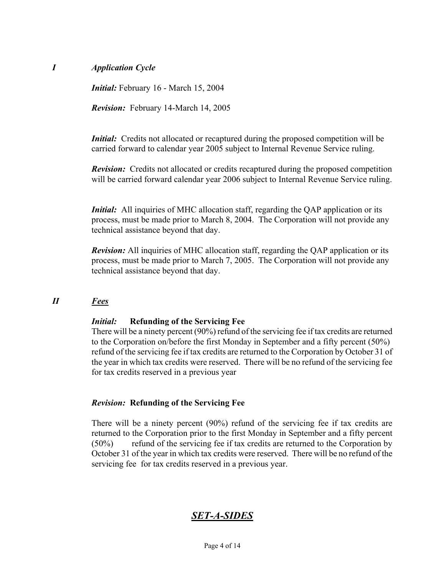## *I Application Cycle*

 *Initial:* February 16 - March 15, 2004

 *Revision:* February 14-March 14, 2005

*Initial:* Credits not allocated or recaptured during the proposed competition will be carried forward to calendar year 2005 subject to Internal Revenue Service ruling.

*Revision:* Credits not allocated or credits recaptured during the proposed competition will be carried forward calendar year 2006 subject to Internal Revenue Service ruling.

*Initial:* All inquiries of MHC allocation staff, regarding the QAP application or its process, must be made prior to March 8, 2004. The Corporation will not provide any technical assistance beyond that day.

 *Revision:* All inquiries of MHC allocation staff, regarding the QAP application or its process, must be made prior to March 7, 2005. The Corporation will not provide any technical assistance beyond that day.

## *II Fees*

#### *Initial:* **Refunding of the Servicing Fee**

 There will be a ninety percent (90%) refund of the servicing fee if tax credits are returned to the Corporation on/before the first Monday in September and a fifty percent (50%) refund of the servicing fee if tax credits are returned to the Corporation by October 31 of the year in which tax credits were reserved. There will be no refund of the servicing fee for tax credits reserved in a previous year

#### *Revision:* **Refunding of the Servicing Fee**

There will be a ninety percent (90%) refund of the servicing fee if tax credits are returned to the Corporation prior to the first Monday in September and a fifty percent (50%) refund of the servicing fee if tax credits are returned to the Corporation by October 31 of the year in which tax credits were reserved. There will be no refund of the servicing fee for tax credits reserved in a previous year.

# *SET-A-SIDES*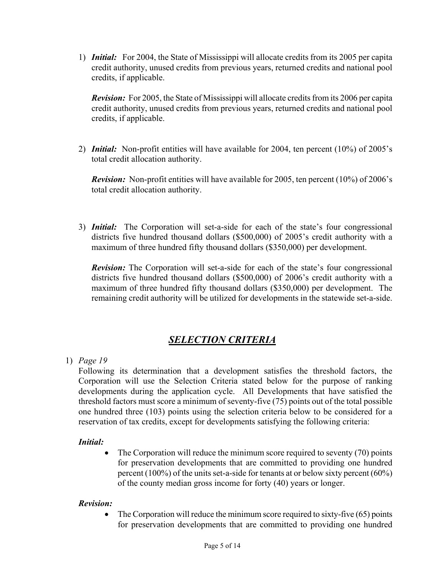1) *Initial:* For 2004, the State of Mississippi will allocate credits from its 2005 per capita credit authority, unused credits from previous years, returned credits and national pool credits, if applicable.

 *Revision:* For 2005, the State of Mississippi will allocate credits from its 2006 per capita credit authority, unused credits from previous years, returned credits and national pool credits, if applicable.

2) *Initial:* Non-profit entities will have available for 2004, ten percent (10%) of 2005's total credit allocation authority.

*Revision:* Non-profit entities will have available for 2005, ten percent (10%) of 2006's total credit allocation authority.

3) *Initial:* The Corporation will set-a-side for each of the state's four congressional districts five hundred thousand dollars (\$500,000) of 2005's credit authority with a maximum of three hundred fifty thousand dollars (\$350,000) per development.

*Revision:* The Corporation will set-a-side for each of the state's four congressional districts five hundred thousand dollars (\$500,000) of 2006's credit authority with a maximum of three hundred fifty thousand dollars (\$350,000) per development. The remaining credit authority will be utilized for developments in the statewide set-a-side.

# *SELECTION CRITERIA*

# 1) *Page 19*

Following its determination that a development satisfies the threshold factors, the Corporation will use the Selection Criteria stated below for the purpose of ranking developments during the application cycle. All Developments that have satisfied the threshold factors must score a minimum of seventy-five (75) points out of the total possible one hundred three (103) points using the selection criteria below to be considered for a reservation of tax credits, except for developments satisfying the following criteria:

# *Initial:*

• The Corporation will reduce the minimum score required to seventy (70) points for preservation developments that are committed to providing one hundred percent (100%) of the units set-a-side for tenants at or below sixty percent (60%) of the county median gross income for forty (40) years or longer.

## *Revision:*

• The Corporation will reduce the minimum score required to sixty-five  $(65)$  points for preservation developments that are committed to providing one hundred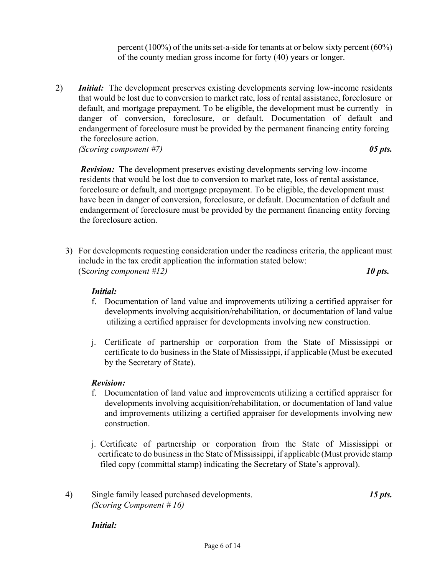percent (100%) of the units set-a-side for tenants at or below sixty percent (60%) of the county median gross income for forty (40) years or longer.

2) *Initial:* The development preserves existing developments serving low-income residents that would be lost due to conversion to market rate, loss of rental assistance, foreclosure or default, and mortgage prepayment. To be eligible, the development must be currently in danger of conversion, foreclosure, or default. Documentation of default and endangerment of foreclosure must be provided by the permanent financing entity forcing the foreclosure action. *(Scoring component #7)**05 pts.* 

 *Revision:* The development preserves existing developments serving low-income residents that would be lost due to conversion to market rate, loss of rental assistance, foreclosure or default, and mortgage prepayment. To be eligible, the development must have been in danger of conversion, foreclosure, or default. Documentation of default and endangerment of foreclosure must be provided by the permanent financing entity forcing the foreclosure action.

3) For developments requesting consideration under the readiness criteria, the applicant must include in the tax credit application the information stated below: (Sc*oring component #12)**10 pts.*

## *Initial:*

- f. Documentation of land value and improvements utilizing a certified appraiser for developments involving acquisition/rehabilitation, or documentation of land value utilizing a certified appraiser for developments involving new construction.
- j. Certificate of partnership or corporation from the State of Mississippi or certificate to do business in the State of Mississippi, if applicable (Must be executed by the Secretary of State).

#### *Revision:*

- f. Documentation of land value and improvements utilizing a certified appraiser for developments involving acquisition/rehabilitation, or documentation of land value and improvements utilizing a certified appraiser for developments involving new construction.
- j. Certificate of partnership or corporation from the State of Mississippi or certificate to do business in the State of Mississippi, if applicable (Must provide stamp filed copy (committal stamp) indicating the Secretary of State's approval).
- 4) Single family leased purchased developments. *15 pts. (Scoring Component # 16)*

*Initial:*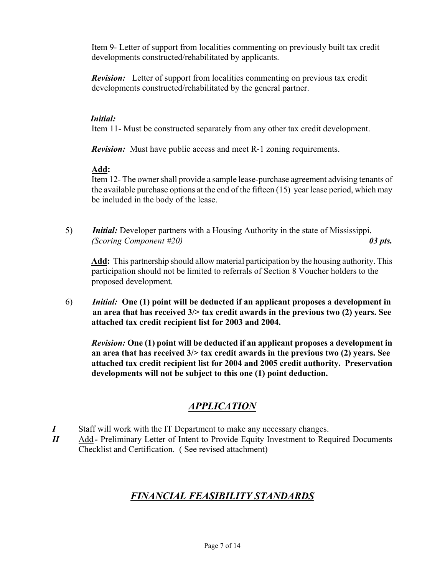Item 9- Letter of support from localities commenting on previously built tax credit developments constructed/rehabilitated by applicants.

*Revision:* Letter of support from localities commenting on previous tax credit developments constructed/rehabilitated by the general partner.

## *Initial:*

Item 11- Must be constructed separately from any other tax credit development.

*Revision:* Must have public access and meet R-1 zoning requirements.

## **Add:**

Item 12- The owner shall provide a sample lease-purchase agreement advising tenants of the available purchase options at the end of the fifteen (15) year lease period, which may be included in the body of the lease.

5) *Initial:* Developer partners with a Housing Authority in the state of Mississippi.  *(Scoring Component #20) 03 pts.* 

 **Add:** This partnership should allow material participation by the housing authority. This participation should not be limited to referrals of Section 8 Voucher holders to the proposed development.

6) *Initial:* **One (1) point will be deducted if an applicant proposes a development in an area that has received 3/> tax credit awards in the previous two (2) years. See attached tax credit recipient list for 2003 and 2004.** 

*Revision:* **One (1) point will be deducted if an applicant proposes a development in an area that has received 3/> tax credit awards in the previous two (2) years. See attached tax credit recipient list for 2004 and 2005 credit authority. Preservation developments will not be subject to this one (1) point deduction.**

# *APPLICATION*

- *I* Staff will work with the IT Department to make any necessary changes.
- *II* Add Preliminary Letter of Intent to Provide Equity Investment to Required Documents Checklist and Certification. ( See revised attachment)

# *FINANCIAL FEASIBILITY STANDARDS*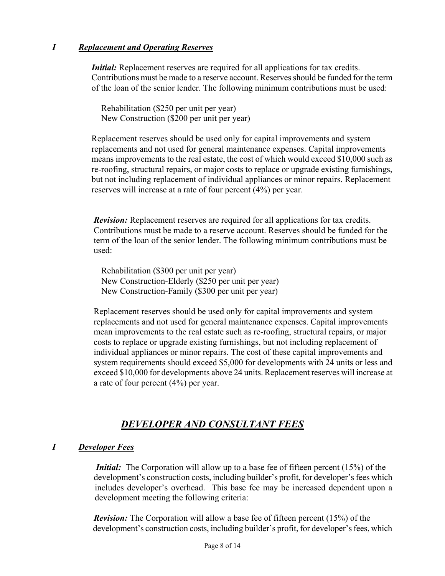## *I Replacement and Operating Reserves*

*Initial:* Replacement reserves are required for all applications for tax credits. Contributions must be made to a reserve account. Reserves should be funded for the term of the loan of the senior lender. The following minimum contributions must be used:

 Rehabilitation (\$250 per unit per year) New Construction (\$200 per unit per year)

 Replacement reserves should be used only for capital improvements and system replacements and not used for general maintenance expenses. Capital improvements means improvements to the real estate, the cost of which would exceed \$10,000 such as re-roofing, structural repairs, or major costs to replace or upgrade existing furnishings, but not including replacement of individual appliances or minor repairs. Replacement reserves will increase at a rate of four percent (4%) per year.

 *Revision:* Replacement reserves are required for all applications for tax credits. Contributions must be made to a reserve account. Reserves should be funded for the term of the loan of the senior lender. The following minimum contributions must be used:

 Rehabilitation (\$300 per unit per year) New Construction-Elderly (\$250 per unit per year) New Construction-Family (\$300 per unit per year)

 Replacement reserves should be used only for capital improvements and system replacements and not used for general maintenance expenses. Capital improvements mean improvements to the real estate such as re-roofing, structural repairs, or major costs to replace or upgrade existing furnishings, but not including replacement of individual appliances or minor repairs. The cost of these capital improvements and system requirements should exceed \$5,000 for developments with 24 units or less and exceed \$10,000 for developments above 24 units. Replacement reserves will increase at a rate of four percent (4%) per year.

# *DEVELOPER AND CONSULTANT FEES*

# *I Developer Fees*

*Initial:* The Corporation will allow up to a base fee of fifteen percent (15%) of the development's construction costs, including builder's profit, for developer's fees which includes developer's overhead. This base fee may be increased dependent upon a development meeting the following criteria:

 *Revision:* The Corporation will allow a base fee of fifteen percent (15%) of the development's construction costs, including builder's profit, for developer's fees, which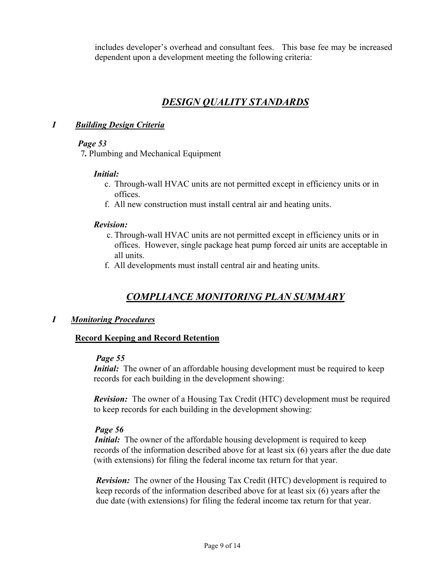includes developer's overhead and consultant fees. This base fee may be increased dependent upon a development meeting the following criteria:

# *DESIGN QUALITY STANDARDS*

## *I Building Design Criteria*

## *Page 53*

7*.* Plumbing and Mechanical Equipment

#### *Initial:*

- c. Through-wall HVAC units are not permitted except in efficiency units or in offices.
- f. All new construction must install central air and heating units.

#### *Revision:*

- c. Through-wall HVAC units are not permitted except in efficiency units or in offices. However, single package heat pump forced air units are acceptable in all units.
- f. All developments must install central air and heating units.

# *COMPLIANCE MONITORING PLAN SUMMARY*

## *I Monitoring Procedures*

## **Record Keeping and Record Retention**

#### *Page 55*

*Initial:* The owner of an affordable housing development must be required to keep records for each building in the development showing:

 *Revision:* The owner of a Housing Tax Credit (HTC) development must be required to keep records for each building in the development showing:

#### *Page 56*

*Initial:* The owner of the affordable housing development is required to keep records of the information described above for at least six (6) years after the due date (with extensions) for filing the federal income tax return for that year.

*Revision:* The owner of the Housing Tax Credit (HTC) development is required to keep records of the information described above for at least six (6) years after the due date (with extensions) for filing the federal income tax return for that year.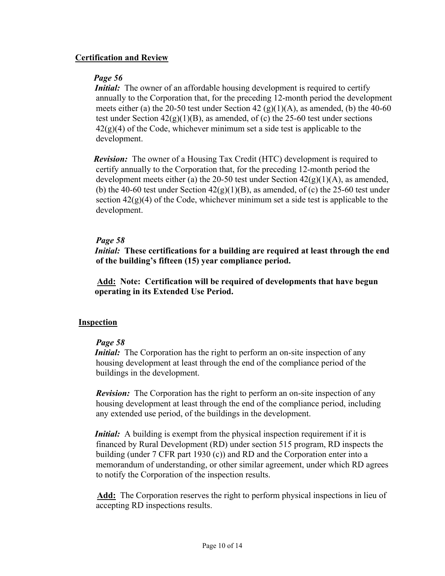## **Certification and Review**

## *Page 56*

*Initial:* The owner of an affordable housing development is required to certify annually to the Corporation that, for the preceding 12-month period the development meets either (a) the 20-50 test under Section 42 (g)(1)(A), as amended, (b) the 40-60 test under Section  $42(g)(1)(B)$ , as amended, of (c) the 25-60 test under sections  $42(g)(4)$  of the Code, whichever minimum set a side test is applicable to the development.

 *Revision:* The owner of a Housing Tax Credit (HTC) development is required to certify annually to the Corporation that, for the preceding 12-month period the development meets either (a) the 20-50 test under Section  $42(g)(1)(A)$ , as amended, (b) the 40-60 test under Section  $42(g)(1)(B)$ , as amended, of (c) the 25-60 test under section  $42(g)(4)$  of the Code, whichever minimum set a side test is applicable to the development.

## *Page 58*

*Initial:* **These certifications for a building are required at least through the end of the building's fifteen (15) year compliance period.** 

 **Add: Note: Certification will be required of developments that have begun operating in its Extended Use Period.** 

## **Inspection**

## *Page 58*

*Initial:* The Corporation has the right to perform an on-site inspection of any housing development at least through the end of the compliance period of the buildings in the development.

*Revision:* The Corporation has the right to perform an on-site inspection of any housing development at least through the end of the compliance period, including any extended use period, of the buildings in the development.

*Initial:* A building is exempt from the physical inspection requirement if it is financed by Rural Development (RD) under section 515 program, RD inspects the building (under 7 CFR part 1930 (c)) and RD and the Corporation enter into a memorandum of understanding, or other similar agreement, under which RD agrees to notify the Corporation of the inspection results.

 **Add:** The Corporation reserves the right to perform physical inspections in lieu of accepting RD inspections results.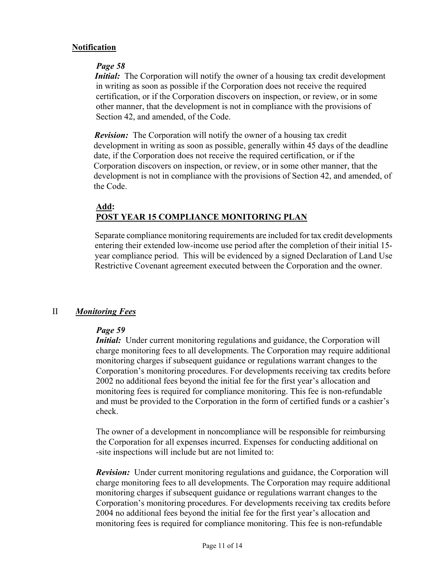## **Notification**

## *Page 58*

*Initial:* The Corporation will notify the owner of a housing tax credit development in writing as soon as possible if the Corporation does not receive the required certification, or if the Corporation discovers on inspection, or review, or in some other manner, that the development is not in compliance with the provisions of Section 42, and amended, of the Code.

*Revision:* The Corporation will notify the owner of a housing tax credit development in writing as soon as possible, generally within 45 days of the deadline date, if the Corporation does not receive the required certification, or if the Corporation discovers on inspection, or review, or in some other manner, that the development is not in compliance with the provisions of Section 42, and amended, of the Code.

## **Add: POST YEAR 15 COMPLIANCE MONITORING PLAN**

Separate compliance monitoring requirements are included for tax credit developments entering their extended low-income use period after the completion of their initial 15 year compliance period. This will be evidenced by a signed Declaration of Land Use Restrictive Covenant agreement executed between the Corporation and the owner.

## II *Monitoring Fees*

## *Page 59*

*Initial:* Under current monitoring regulations and guidance, the Corporation will charge monitoring fees to all developments. The Corporation may require additional monitoring charges if subsequent guidance or regulations warrant changes to the Corporation's monitoring procedures. For developments receiving tax credits before 2002 no additional fees beyond the initial fee for the first year's allocation and monitoring fees is required for compliance monitoring. This fee is non-refundable and must be provided to the Corporation in the form of certified funds or a cashier's check.

 The owner of a development in noncompliance will be responsible for reimbursing the Corporation for all expenses incurred. Expenses for conducting additional on -site inspections will include but are not limited to:

 *Revision:* Under current monitoring regulations and guidance, the Corporation will charge monitoring fees to all developments. The Corporation may require additional monitoring charges if subsequent guidance or regulations warrant changes to the Corporation's monitoring procedures. For developments receiving tax credits before 2004 no additional fees beyond the initial fee for the first year's allocation and monitoring fees is required for compliance monitoring. This fee is non-refundable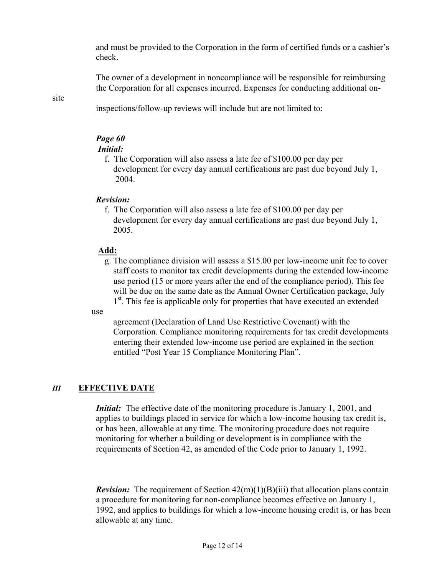and must be provided to the Corporation in the form of certified funds or a cashier's check.

 The owner of a development in noncompliance will be responsible for reimbursing the Corporation for all expenses incurred. Expenses for conducting additional on-

#### site

inspections/follow-up reviews will include but are not limited to:

## *Page 60*

## *Initial:*

f.The Corporation will also assess a late fee of \$100.00 per day per development for every day annual certifications are past due beyond July 1, 2004.

#### *Revision:*

f.The Corporation will also assess a late fee of \$100.00 per day per development for every day annual certifications are past due beyond July 1, 2005.

## **Add:**

g. The compliance division will assess a \$15.00 per low-income unit fee to cover staff costs to monitor tax credit developments during the extended low-income use period (15 or more years after the end of the compliance period). This fee will be due on the same date as the Annual Owner Certification package, July 1<sup>st</sup>. This fee is applicable only for properties that have executed an extended

use

 agreement (Declaration of Land Use Restrictive Covenant) with the Corporation. Compliance monitoring requirements for tax credit developments entering their extended low-income use period are explained in the section entitled "Post Year 15 Compliance Monitoring Plan".

## *III* **EFFECTIVE DATE**

*Initial:* The effective date of the monitoring procedure is January 1, 2001, and applies to buildings placed in service for which a low-income housing tax credit is, or has been, allowable at any time. The monitoring procedure does not require monitoring for whether a building or development is in compliance with the requirements of Section 42, as amended of the Code prior to January 1, 1992.

*Revision:* The requirement of Section  $42(m)(1)(B)(iii)$  that allocation plans contain a procedure for monitoring for non-compliance becomes effective on January 1, 1992, and applies to buildings for which a low-income housing credit is, or has been allowable at any time.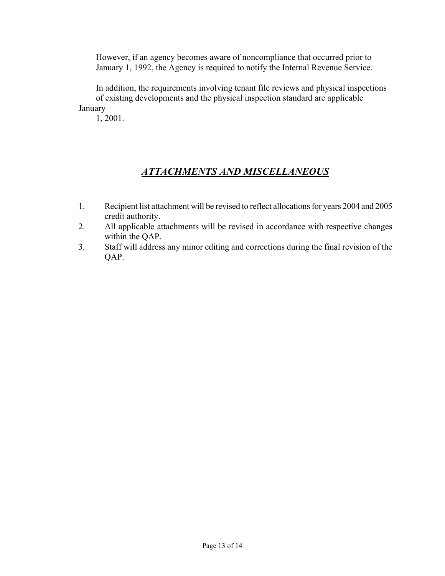However, if an agency becomes aware of noncompliance that occurred prior to January 1, 1992, the Agency is required to notify the Internal Revenue Service.

 In addition, the requirements involving tenant file reviews and physical inspections of existing developments and the physical inspection standard are applicable January

1, 2001.

# *ATTACHMENTS AND MISCELLANEOUS*

- 1. Recipient list attachment will be revised to reflect allocations for years 2004 and 2005 credit authority.
- 2. All applicable attachments will be revised in accordance with respective changes within the QAP.
- 3. Staff will address any minor editing and corrections during the final revision of the QAP.